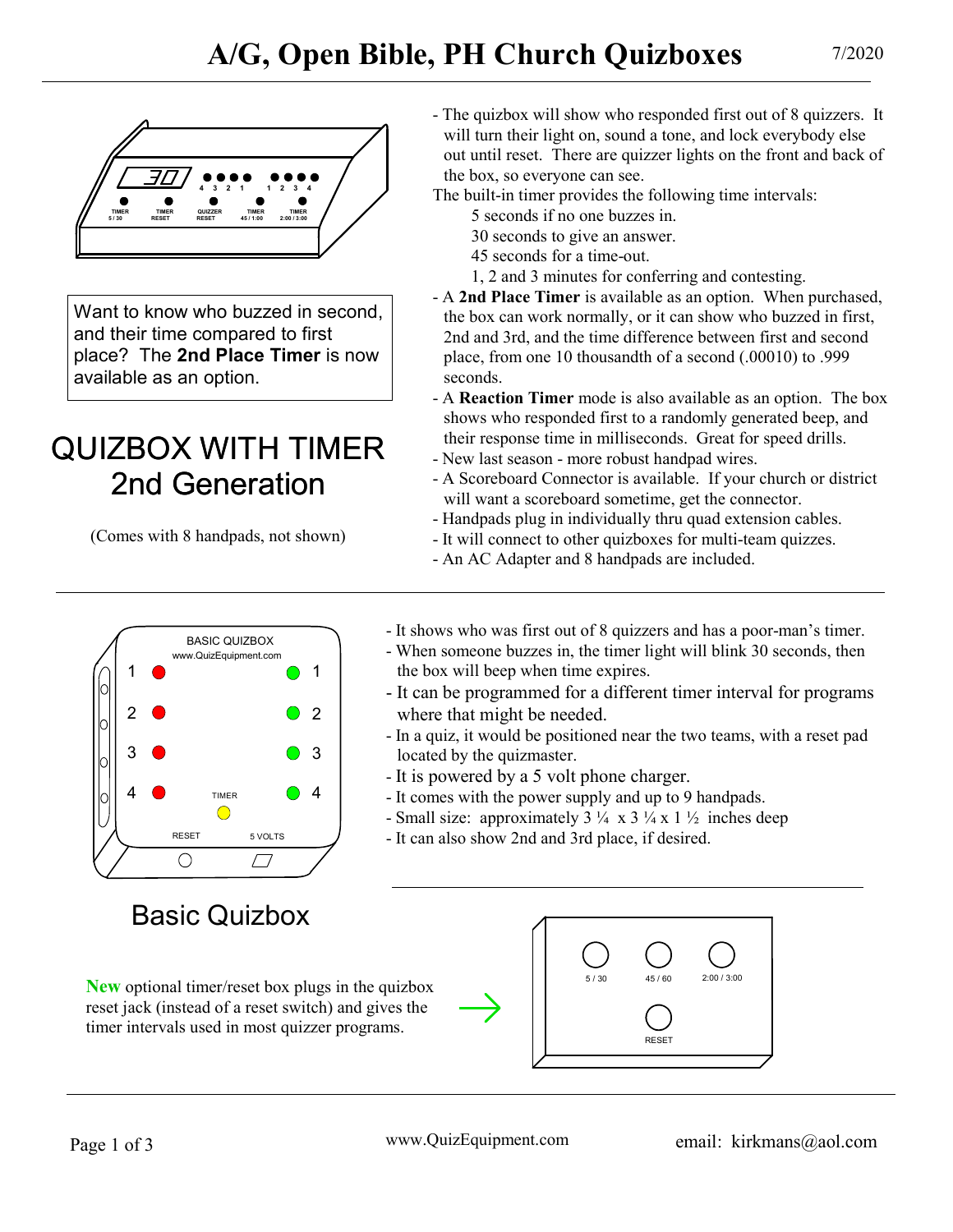

Want to know who buzzed in second. and their time compared to first place? The 2nd Place Timer is now available as an option.

# QUIZBOX WITH TIMER 2nd Generation

(Comes with 8 handpads, not shown)



# Basic Quizbox

reset jack (instead of a reset switch) and gives the timer intervals used in most quizzer programs.

- The quizbox will show who responded first out of 8 quizzers. It will turn their light on, sound a tone, and lock everybody else out until reset. There are quizzer lights on the front and back of the box, so everyone can see.
- The built-in timer provides the following time intervals:
	- 5 seconds if no one buzzes in.
	- 30 seconds to give an answer.
	- 45 seconds for a time-out.
	- 1, 2 and 3 minutes for conferring and contesting.
- A 2nd Place Timer is available as an option. When purchased, the box can work normally, or it can show who buzzed in first, 2nd and 3rd, and the time difference between first and second place, from one 10 thousandth of a second (.00010) to .999 seconds.
- A Reaction Timer mode is also available as an option. The box shows who responded first to a randomly generated beep, and their response time in milliseconds. Great for speed drills.
- New last season more robust handpad wires.
- A Scoreboard Connector is available. If your church or district will want a scoreboard sometime, get the connector.
- Handpads plug in individually thru quad extension cables.
- It will connect to other quizboxes for multi-team quizzes.
- An AC Adapter and 8 handpads are included.
- It shows who was first out of 8 quizzers and has a poor-man's timer.
- When someone buzzes in, the timer light will blink 30 seconds, then the box will beep when time expires.
- It can be programmed for a different timer interval for programs where that might be needed.
- In a quiz, it would be positioned near the two teams, with a reset pad located by the quizmaster.
- It is powered by a 5 volt phone charger.
- It comes with the power supply and up to 9 handpads.
- Small size: approximately  $3\frac{1}{4} \times 3\frac{1}{4} \times 1\frac{1}{2}$  inches deep
- It can also show 2nd and 3rd place, if desired.

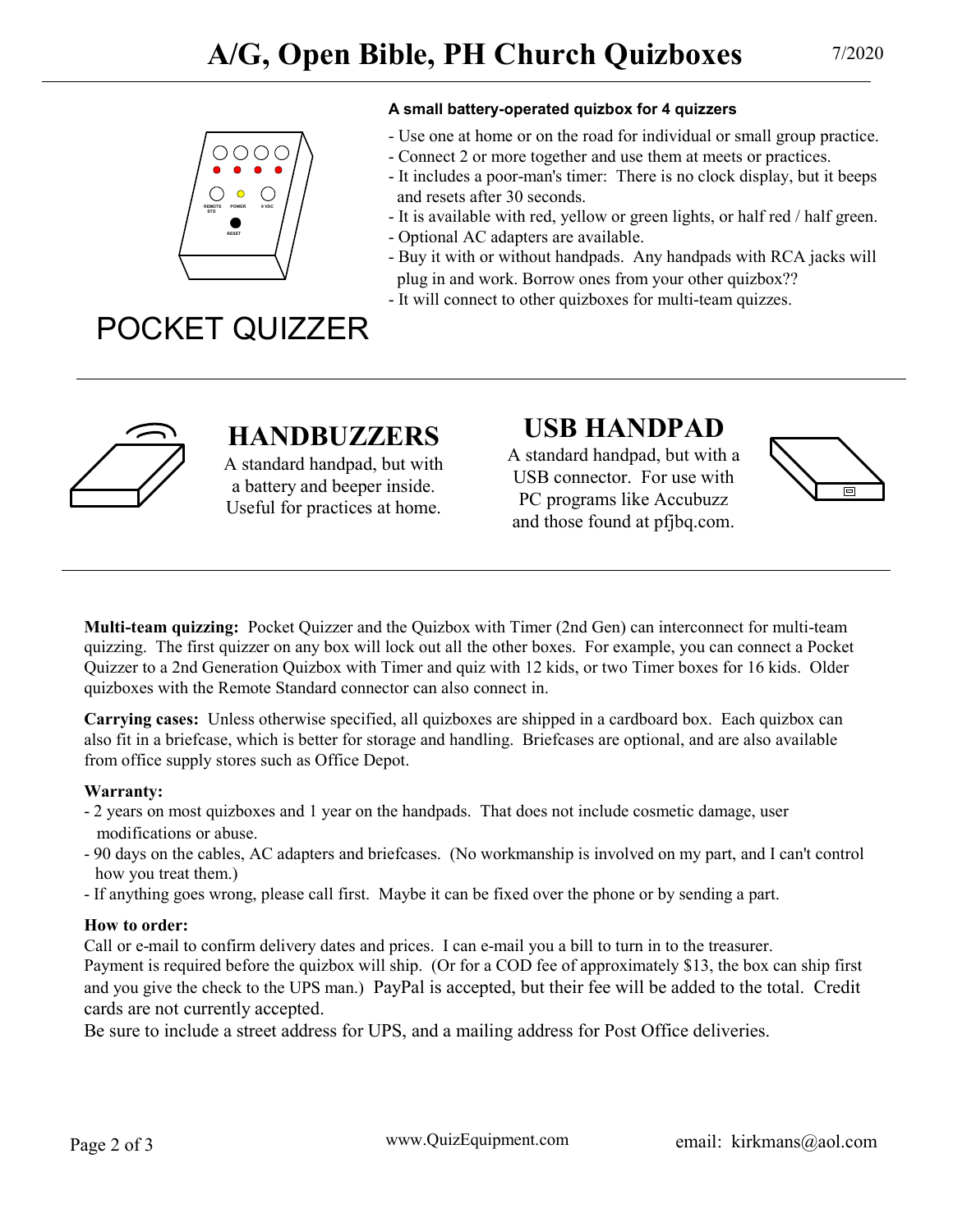

#### A small battery-operated quizbox for 4 quizzers

- Use one at home or on the road for individual or small group practice.
- Connect 2 or more together and use them at meets or practices.
- It includes a poor-man's timer: There is no clock display, but it beeps and resets after 30 seconds.
- It is available with red, yellow or green lights, or half red / half green.
- Optional AC adapters are available.
- Buy it with or without handpads. Any handpads with RCA jacks will plug in and work. Borrow ones from your other quizbox??
- It will connect to other quizboxes for multi-team quizzes.

# POCKET QUIZZER



## HANDBUZZERS

A standard handpad, but with a battery and beeper inside. Useful for practices at home.

## USB HANDPAD

A standard handpad, but with a USB connector. For use with PC programs like Accubuzz and those found at pfjbq.com.



**Multi-team quizzing:** Pocket Quizzer and the Quizbox with Timer (2nd Gen) can interconnect for multi-team quizzing. The first quizzer on any box will lock out all the other boxes. For example, you can connect a Pocket Quizzer to a 2nd Generation Quizbox with Timer and quiz with 12 kids, or two Timer boxes for 16 kids. Older quizboxes with the Remote Standard connector can also connect in.

Carrying cases: Unless otherwise specified, all quizboxes are shipped in a cardboard box. Each quizbox can also fit in a briefcase, which is better for storage and handling. Briefcases are optional, and are also available from office supply stores such as Office Depot.

### Warranty:

- 2 years on most quizboxes and 1 year on the handpads. That does not include cosmetic damage, user modifications or abuse.
- 90 days on the cables, AC adapters and briefcases. (No workmanship is involved on my part, and I can't control how you treat them.)
- If anything goes wrong, please call first. Maybe it can be fixed over the phone or by sending a part.

### How to order:

Call or e-mail to confirm delivery dates and prices. I can e-mail you a bill to turn in to the treasurer. Payment is required before the quizbox will ship. (Or for a COD fee of approximately \$13, the box can ship first and you give the check to the UPS man.) PayPal is accepted, but their fee will be added to the total. Credit cards are not currently accepted.

Be sure to include a street address for UPS, and a mailing address for Post Office deliveries.